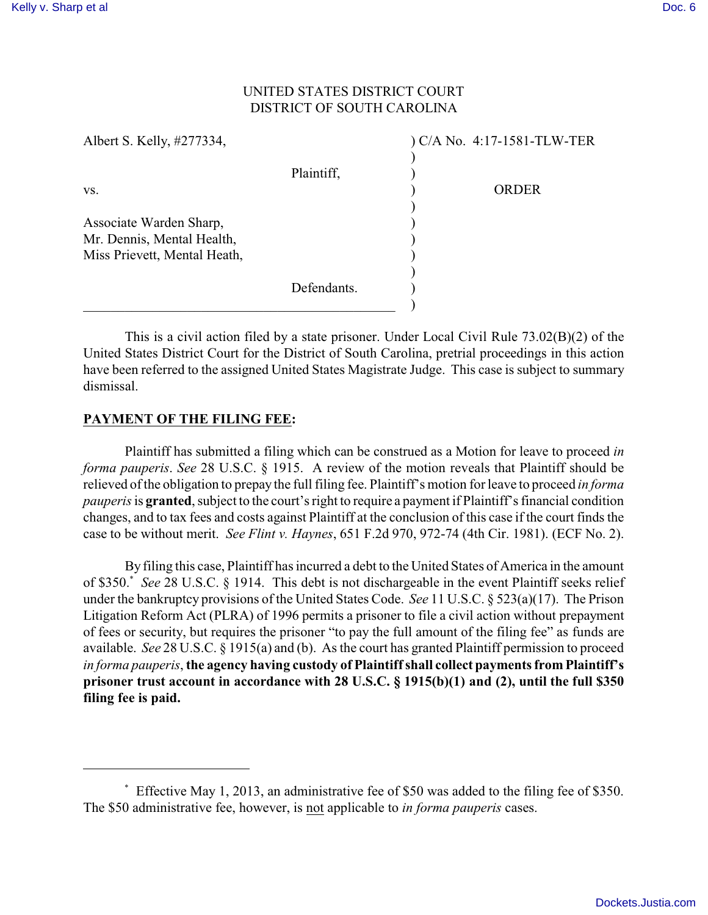# UNITED STATES DISTRICT COURT DISTRICT OF SOUTH CAROLINA

| Albert S. Kelly, #277334,                                                             |             | ) C/A No. 4:17-1581-TLW-TER |
|---------------------------------------------------------------------------------------|-------------|-----------------------------|
|                                                                                       | Plaintiff,  |                             |
| VS.                                                                                   |             | <b>ORDER</b>                |
| Associate Warden Sharp,<br>Mr. Dennis, Mental Health,<br>Miss Prievett, Mental Heath, |             |                             |
|                                                                                       | Defendants. |                             |

This is a civil action filed by a state prisoner. Under Local Civil Rule 73.02(B)(2) of the United States District Court for the District of South Carolina, pretrial proceedings in this action have been referred to the assigned United States Magistrate Judge. This case is subject to summary dismissal.

## **PAYMENT OF THE FILING FEE:**

Plaintiff has submitted a filing which can be construed as a Motion for leave to proceed *in forma pauperis*. *See* 28 U.S.C. § 1915. A review of the motion reveals that Plaintiff should be relieved of the obligation to prepay the full filing fee. Plaintiff's motion for leave to proceed *in forma pauperis* is **granted**, subject to the court's right to require a payment if Plaintiff's financial condition changes, and to tax fees and costs against Plaintiff at the conclusion of this case if the court finds the case to be without merit. *See Flint v. Haynes*, 651 F.2d 970, 972-74 (4th Cir. 1981). (ECF No. 2).

By filing this case, Plaintiff has incurred a debt to the United States of America in the amount of \$350.<sup>\*</sup> See 28 U.S.C. § 1914. This debt is not dischargeable in the event Plaintiff seeks relief under the bankruptcy provisions of the United States Code. *See* 11 U.S.C. § 523(a)(17). The Prison Litigation Reform Act (PLRA) of 1996 permits a prisoner to file a civil action without prepayment of fees or security, but requires the prisoner "to pay the full amount of the filing fee" as funds are available. *See* 28 U.S.C. § 1915(a) and (b). As the court has granted Plaintiff permission to proceed *in forma pauperis*, **the agency having custody of Plaintiff shall collect payments from Plaintiff's prisoner trust account in accordance with 28 U.S.C. § 1915(b)(1) and (2), until the full \$350 filing fee is paid.**

Effective May 1, 2013, an administrative fee of \$50 was added to the filing fee of \$350. \* The \$50 administrative fee, however, is not applicable to *in forma pauperis* cases.